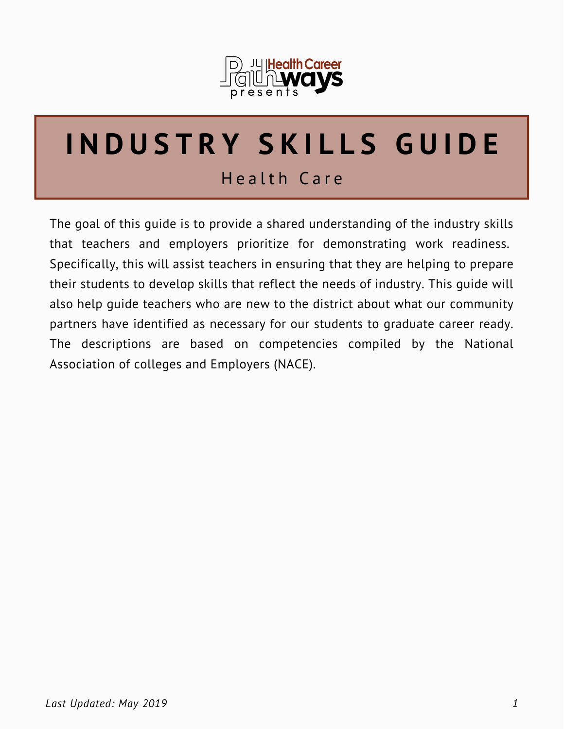

# **I N D U S T R Y S K I L L S G U I D E**

# Health Care

The goal of this guide is to provide a shared understanding of the industry skills that teachers and employers prioritize for demonstrating work readiness. Specifically, this will assist teachers in ensuring that they are helping to prepare their students to develop skills that reflect the needs of industry. This guide will also help guide teachers who are new to the district about what our community partners have identified as necessary for our students to graduate career ready. The descriptions are based on competencies compiled by the National Association of colleges and Employers (NACE).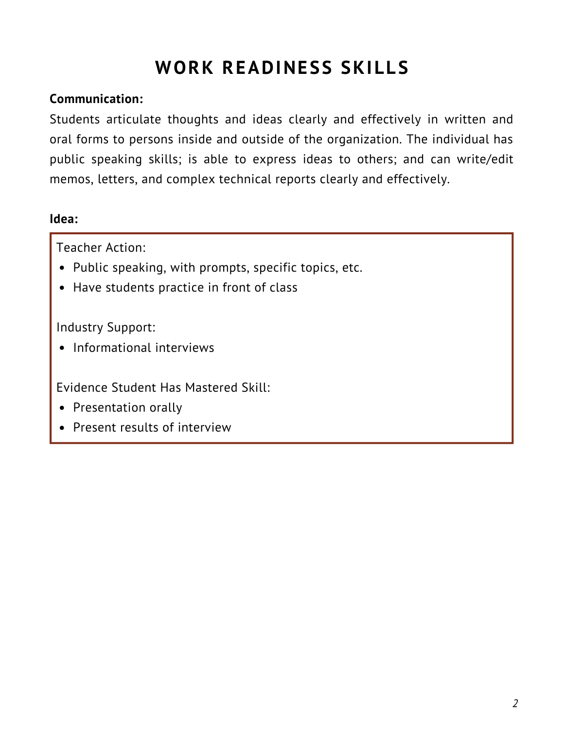# **WORK READINESS SKILLS**

#### **Communication:**

Students articulate thoughts and ideas clearly and effectively in written and oral forms to persons inside and outside of the organization. The individual has public speaking skills; is able to express ideas to others; and can write/edit memos, letters, and complex technical reports clearly and effectively.

#### **Idea:**

Teacher Action:

- Public speaking, with prompts, specific topics, etc.
- Have students practice in front of class

Industry Support:

• Informational interviews

- Presentation orally
- Present results of interview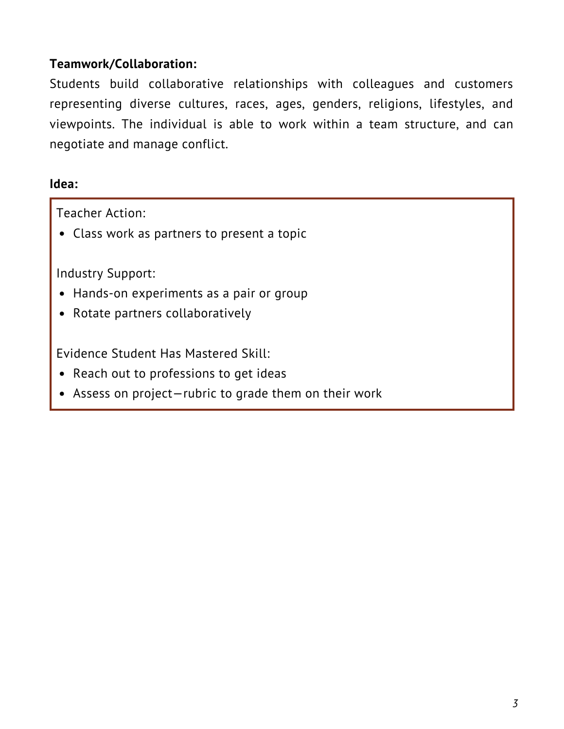## **Teamwork/Collaboration:**

Students build collaborative relationships with colleagues and customers representing diverse cultures, races, ages, genders, religions, lifestyles, and viewpoints. The individual is able to work within a team structure, and can negotiate and manage conflict.

#### **Idea:**

Teacher Action:

Class work as partners to present a topic

Industry Support:

- Hands-on experiments as a pair or group
- Rotate partners collaboratively

- Reach out to professions to get ideas
- Assess on project—rubric to grade them on their work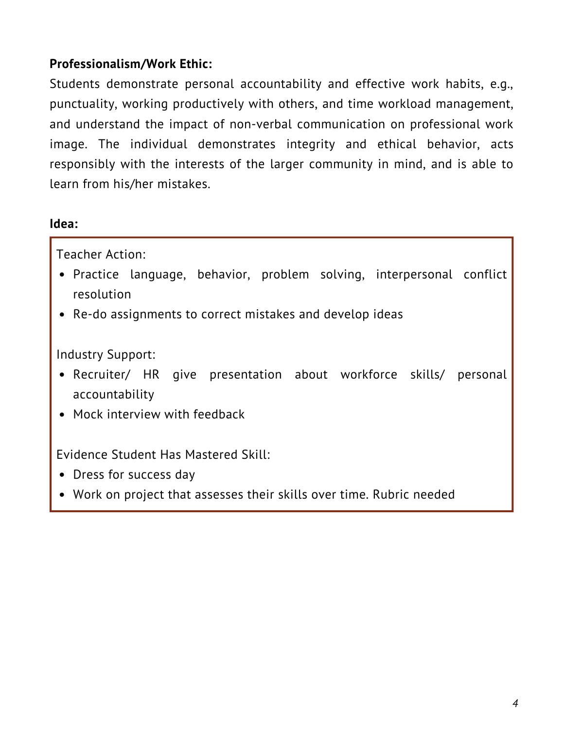# **Professionalism/Work Ethic:**

Students demonstrate personal accountability and effective work habits, e.g., punctuality, working productively with others, and time workload management, and understand the impact of non-verbal communication on professional work image. The individual demonstrates integrity and ethical behavior, acts responsibly with the interests of the larger community in mind, and is able to learn from his/her mistakes.

#### **Idea:**

Teacher Action:

- Practice language, behavior, problem solving, interpersonal conflict resolution
- Re-do assignments to correct mistakes and develop ideas

Industry Support:

- Recruiter/ HR give presentation about workforce skills/ personal accountability
- Mock interview with feedback

- Dress for success day
- Work on project that assesses their skills over time. Rubric needed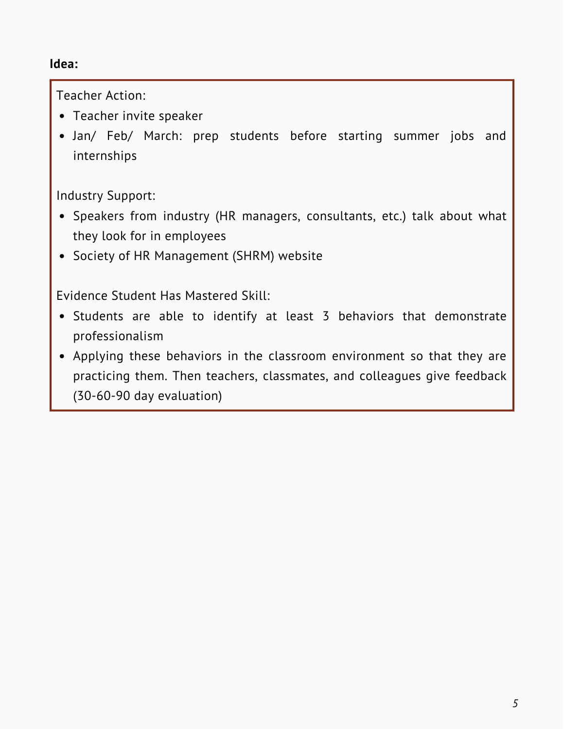#### **Idea:**

Teacher Action:

- Teacher invite speaker
- Jan/ Feb/ March: prep students before starting summer jobs and internships

Industry Support:

- Speakers from industry (HR managers, consultants, etc.) talk about what they look for in employees
- Society of HR Management (SHRM) website

- Students are able to identify at least 3 behaviors that demonstrate professionalism
- Applying these behaviors in the classroom environment so that they are practicing them. Then teachers, classmates, and colleagues give feedback (30-60-90 day evaluation)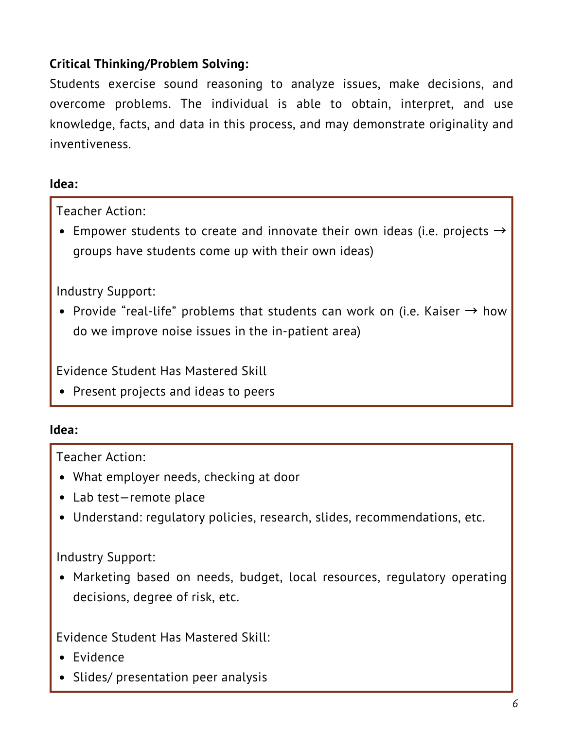# **Critical Thinking/Problem Solving:**

Students exercise sound reasoning to analyze issues, make decisions, and overcome problems. The individual is able to obtain, interpret, and use knowledge, facts, and data in this process, and may demonstrate originality and inventiveness.

#### **Idea:**

Teacher Action:

• Empower students to create and innovate their own ideas (i.e. projects  $\rightarrow$ groups have students come up with their own ideas)

Industry Support:

• Provide "real-life" problems that students can work on (i.e. Kaiser  $\rightarrow$  how do we improve noise issues in the in-patient area)

Evidence Student Has Mastered Skill

• Present projects and ideas to peers

#### **Idea:**

Teacher Action:

- What employer needs, checking at door
- Lab test—remote place
- Understand: regulatory policies, research, slides, recommendations, etc.

#### Industry Support:

Marketing based on needs, budget, local resources, regulatory operating decisions, degree of risk, etc.

- Evidence
- Slides/ presentation peer analysis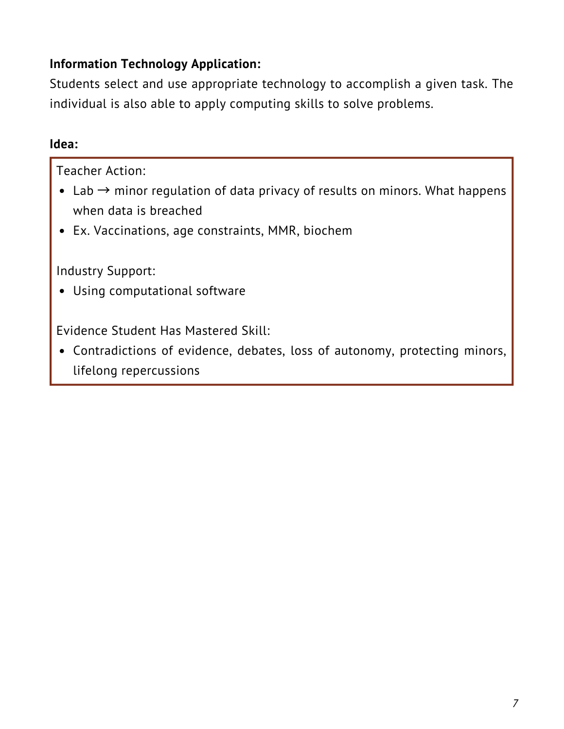# **Information Technology Application:**

Students select and use appropriate technology to accomplish a given task. The individual is also able to apply computing skills to solve problems.

#### **Idea:**

Teacher Action:

- Lab  $\rightarrow$  minor regulation of data privacy of results on minors. What happens when data is breached
- Ex. Vaccinations, age constraints, MMR, biochem

Industry Support:

Using computational software

Evidence Student Has Mastered Skill:

Contradictions of evidence, debates, loss of autonomy, protecting minors, lifelong repercussions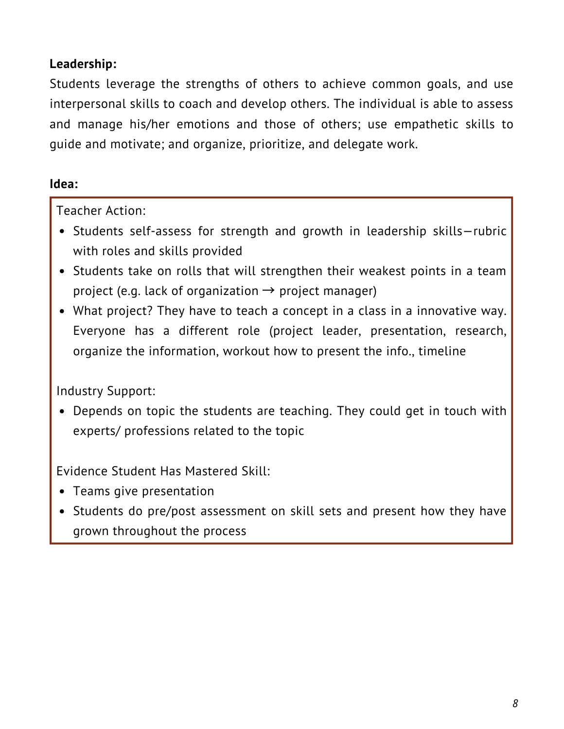# **Leadership:**

Students leverage the strengths of others to achieve common goals, and use interpersonal skills to coach and develop others. The individual is able to assess and manage his/her emotions and those of others; use empathetic skills to guide and motivate; and organize, prioritize, and delegate work.

# **Idea:**

Teacher Action:

- Students self-assess for strength and growth in leadership skills—rubric with roles and skills provided
- Students take on rolls that will strengthen their weakest points in a team project (e.g. lack of organization  $\rightarrow$  project manager)
- What project? They have to teach a concept in a class in a innovative way. Everyone has a different role (project leader, presentation, research, organize the information, workout how to present the info., timeline

# Industry Support:

Depends on topic the students are teaching. They could get in touch with experts/ professions related to the topic

- Teams give presentation
- Students do pre/post assessment on skill sets and present how they have grown throughout the process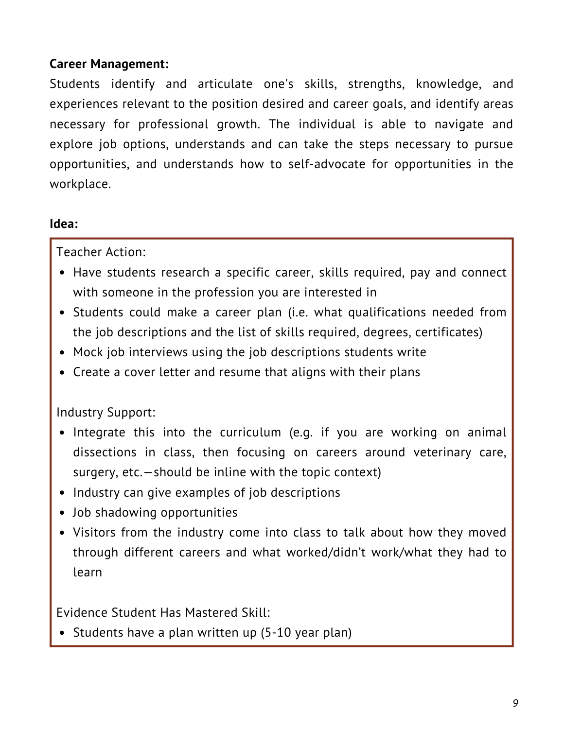## **Career Management:**

Students identify and articulate one's skills, strengths, knowledge, and experiences relevant to the position desired and career goals, and identify areas necessary for professional growth. The individual is able to navigate and explore job options, understands and can take the steps necessary to pursue opportunities, and understands how to self-advocate for opportunities in the workplace.

#### **Idea:**

Teacher Action:

- Have students research a specific career, skills required, pay and connect with someone in the profession you are interested in
- Students could make a career plan (i.e. what qualifications needed from the job descriptions and the list of skills required, degrees, certificates)
- Mock job interviews using the job descriptions students write
- Create a cover letter and resume that aligns with their plans

Industry Support:

- Integrate this into the curriculum (e.g. if you are working on animal dissections in class, then focusing on careers around veterinary care, surgery, etc.—should be inline with the topic context)
- Industry can give examples of job descriptions
- Job shadowing opportunities
- Visitors from the industry come into class to talk about how they moved through different careers and what worked/didn't work/what they had to learn

Evidence Student Has Mastered Skill:

• Students have a plan written up (5-10 year plan)